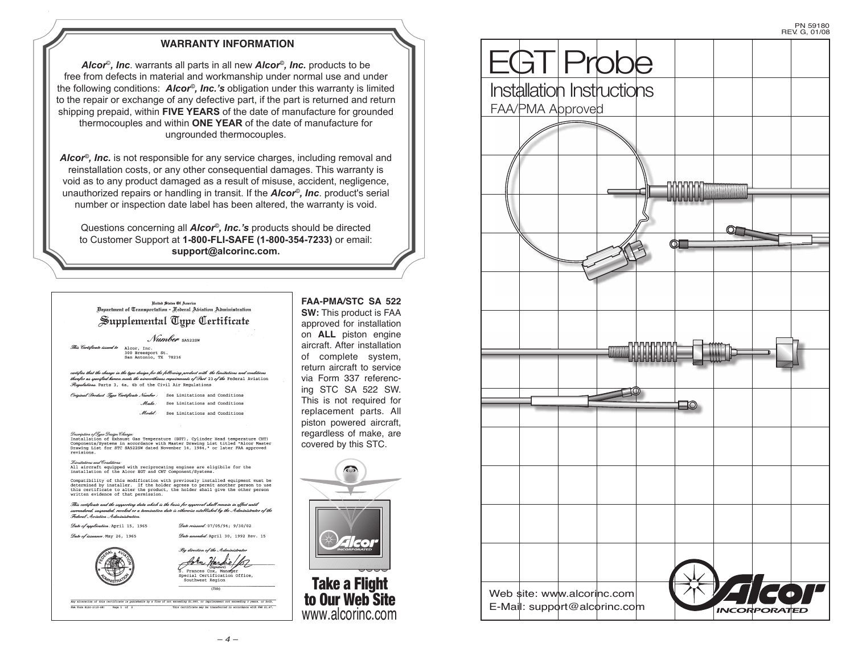# **WARRANTY INFORMATION**

*Alcor*©*, Inc*. warrants all parts in all new *Alcor©, Inc.* products to be free from defects in material and workmanship under normal use and under the following conditions: *Alcor©, Inc.'s* obligation under this warranty is limited to the repair or exchange of any defective part, if the part is returned and return shipping prepaid, within **FIVE YEARS** of the date of manufacture for grounded thermocouples and within **ONE YEAR** of the date of manufacture for ungrounded thermocouples.

*Alcor©, Inc.* is not responsible for any service charges, including removal and reinstallation costs, or any other consequential damages. This warranty is void as to any product damaged as a result of misuse, accident, negligence, unauthorized repairs or handling in transit. If the *Alcor©, Inc*. product's serial number or inspection date label has been altered, the warranty is void.

Questions concerning all *Alcor©, Inc.'s* products should be directed to Customer Support at **1-800-FLI-SAFE (1-800-354-7233)** or email: **support@alcorinc.com.**

### United States Of America united States Ot America.<br>Bepartment of Transportation - Aederal Abiation Administration Supplemental Type Certificate

Number SAS22SW This Certificate issued to Alcor, Inc.<br>300 Breesport St.

San Antonio, TX 78216

certifies that the change in the type design for the following product with the limitations and conditions .<br>therefor as specified hereon meets the airworthiness requirements of Part 23 of the Federal Aviation ons. Parts 3, 4a, 4b of the Civil Air Regulations

al Product Tune Certificate Number: See Limitations and Conditions Make: See Limitations and Conditions

Model: See Limitations and Conditions

*Discription of Type Disign Vidage*:<br>Installation of Exhaust Gas Temperature (EGT), Cylinder Head temperature CHT)<br>Components/Systems in accordance with Master Drawing List titled "Alcor Master<br>Drawing List for STC SA522SW

#### mitations and Conditions

Submanion and conductive<br>
All aircraft equipped with reciprocating engines are eligibile for the<br>
installation of the Alcor EGT and CHT Component/Systems.

Compatibility of this modification with previously installed equipment must be determined by installer. If the holder agrees to permit another person to use this certificate to alter the product, the holder shall give the

This certificate and the supporting data which is the basis for approval shall remain in effect until .<br>surrendered, suspended, revoked or a termination date is otherwise established by the Administrator of the 

Date reissued: 07/05/94; 9/30/02 Date of application: April 15, 1965

Date of issuance: May 26, 1965

Date amended: April 30, 1992 Rev. 15



. Ru direction of the Administrator Frances Cox, Manager<br>Special Certification Office,<br>Southwest Region  $(Table)$ 

Any alteration of this certificate is punishable by a fine of not exceeding \$1,000, or imprisonment not exceeding 3 years, or both. This certificate may be transferred in accordance with FAR 21.47 PAA Form 8110-2(10-68) Page 1 of 2

**FAA-PMA/STC SA 522 SW:** This product is FAA approved for installation on **ALL** piston engine aircraft. After installation of complete system, return aircraft to service via Form 337 referencing STC SA 522 SW. This is not required for replacement parts. All piston powered aircraft, regardless of make, are covered by this STC.